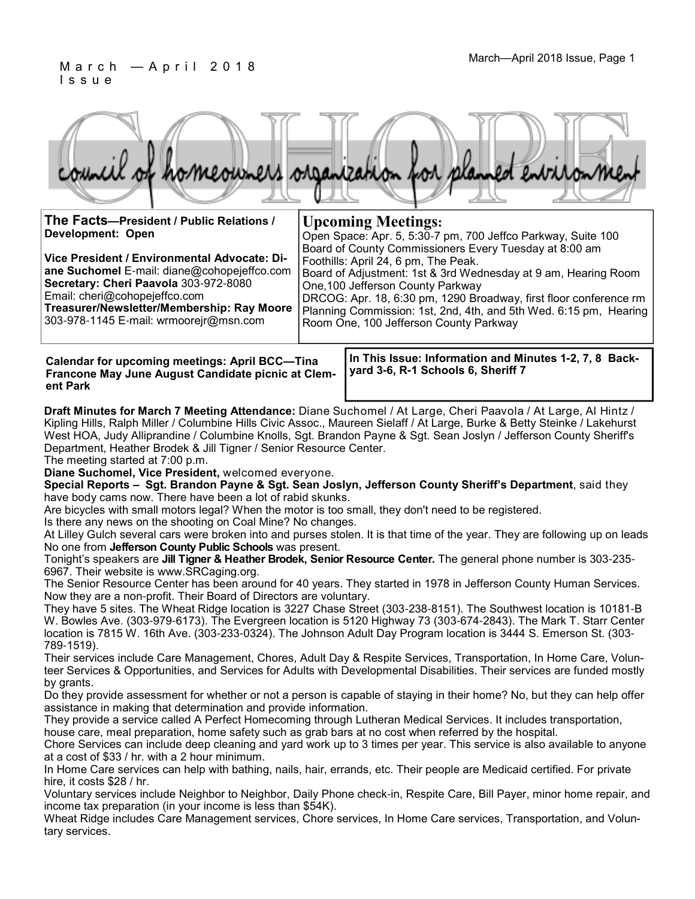#### March—April 2018 Issue, Page 1 M a r c h — A p r i l 2 0 1 8 I s s u e

|  |  |  | council of homeowners organization for planned environment |
|--|--|--|------------------------------------------------------------|

| The Facts-President / Public Relations /                                                    | <b>Upcoming Meetings:</b>                                                                                                                                        |  |  |  |  |
|---------------------------------------------------------------------------------------------|------------------------------------------------------------------------------------------------------------------------------------------------------------------|--|--|--|--|
| Development: Open                                                                           | Open Space: Apr. 5, 5:30-7 pm, 700 Jeffco Parkway, Suite 100                                                                                                     |  |  |  |  |
| Vice President / Environmental Advocate: Di-<br>ane Suchomel E-mail: diane@cohopejeffco.com | Board of County Commissioners Every Tuesday at 8:00 am<br>Foothills: April 24, 6 pm, The Peak.<br>Board of Adjustment: 1st & 3rd Wednesday at 9 am, Hearing Room |  |  |  |  |
| Secretary: Cheri Paavola 303-972-8080<br>Email: cheri@cohopejeffco.com                      | One, 100 Jefferson County Parkway<br>DRCOG: Apr. 18, 6:30 pm, 1290 Broadway, first floor conference rm                                                           |  |  |  |  |
| Treasurer/Newsletter/Membership: Ray Moore<br>303-978-1145 E-mail: wrmoorejr@msn.com        | Planning Commission: 1st, 2nd, 4th, and 5th Wed. 6:15 pm, Hearing<br>Room One, 100 Jefferson County Parkway                                                      |  |  |  |  |
|                                                                                             |                                                                                                                                                                  |  |  |  |  |

**Calendar for upcoming meetings: April BCC—Tina Francone May June August Candidate picnic at Clement Park**

**In This Issue: Information and Minutes 1-2, 7, 8 Backyard 3-6, R-1 Schools 6, Sheriff 7**

**Draft Minutes for March 7 Meeting Attendance:** Diane Suchomel / At Large, Cheri Paavola / At Large, Al Hintz / Kipling Hills, Ralph Miller / Columbine Hills Civic Assoc., Maureen Sielaff / At Large, Burke & Betty Steinke / Lakehurst West HOA, Judy Alliprandine / Columbine Knolls, Sgt. Brandon Payne & Sgt. Sean Joslyn / Jefferson County Sheriff's Department, Heather Brodek & Jill Tigner / Senior Resource Center.

The meeting started at 7:00 p.m.

**Diane Suchomel, Vice President,** welcomed everyone.

**Special Reports – Sgt. Brandon Payne & Sgt. Sean Joslyn, Jefferson County Sheriff's Department**, said they have body cams now. There have been a lot of rabid skunks.

Are bicycles with small motors legal? When the motor is too small, they don't need to be registered.

Is there any news on the shooting on Coal Mine? No changes.

At Lilley Gulch several cars were broken into and purses stolen. It is that time of the year. They are following up on leads No one from **Jefferson County Public Schools** was present.

Tonight's speakers are **Jill Tigner & Heather Brodek, Senior Resource Center.** The general phone number is 303-235- 6967. Their website is www.SRCaging.org.

The Senior Resource Center has been around for 40 years. They started in 1978 in Jefferson County Human Services. Now they are a non-profit. Their Board of Directors are voluntary.

They have 5 sites. The Wheat Ridge location is 3227 Chase Street (303-238-8151). The Southwest location is 10181-B W. Bowles Ave. (303-979-6173). The Evergreen location is 5120 Highway 73 (303-674-2843). The Mark T. Starr Center location is 7815 W. 16th Ave. (303-233-0324). The Johnson Adult Day Program location is 3444 S. Emerson St. (303- 789-1519).

Their services include Care Management, Chores, Adult Day & Respite Services, Transportation, In Home Care, Volunteer Services & Opportunities, and Services for Adults with Developmental Disabilities. Their services are funded mostly by grants.

Do they provide assessment for whether or not a person is capable of staying in their home? No, but they can help offer assistance in making that determination and provide information.

They provide a service called A Perfect Homecoming through Lutheran Medical Services. It includes transportation, house care, meal preparation, home safety such as grab bars at no cost when referred by the hospital.

Chore Services can include deep cleaning and yard work up to 3 times per year. This service is also available to anyone at a cost of \$33 / hr. with a 2 hour minimum.

In Home Care services can help with bathing, nails, hair, errands, etc. Their people are Medicaid certified. For private hire, it costs \$28 / hr.

Voluntary services include Neighbor to Neighbor, Daily Phone check-in, Respite Care, Bill Payer, minor home repair, and income tax preparation (in your income is less than \$54K).

Wheat Ridge includes Care Management services, Chore services, In Home Care services, Transportation, and Voluntary services.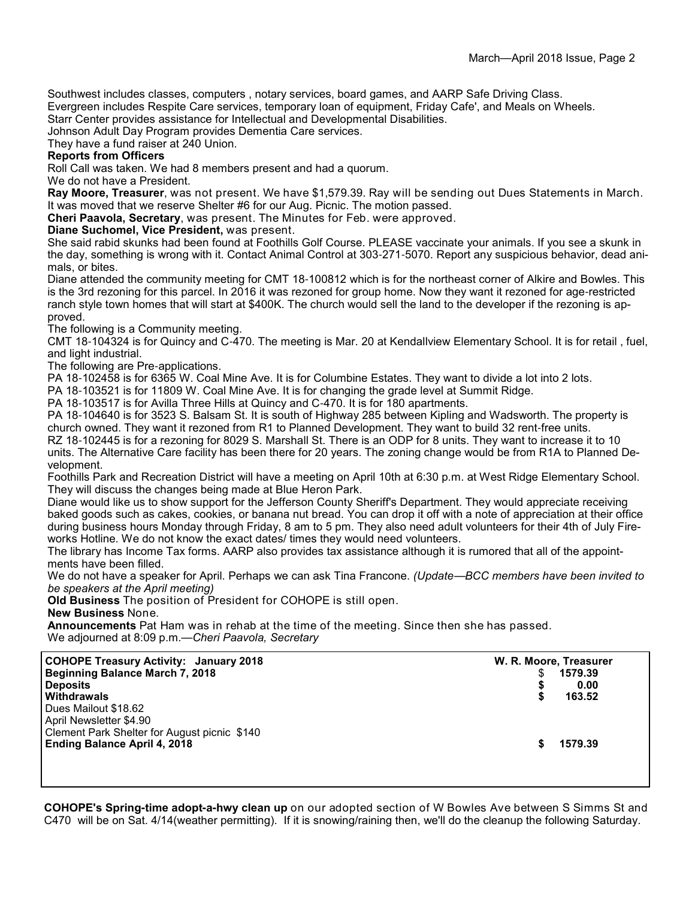Southwest includes classes, computers , notary services, board games, and AARP Safe Driving Class. Evergreen includes Respite Care services, temporary loan of equipment, Friday Cafe', and Meals on Wheels.

Starr Center provides assistance for Intellectual and Developmental Disabilities.

Johnson Adult Day Program provides Dementia Care services.

They have a fund raiser at 240 Union.

#### **Reports from Officers**

Roll Call was taken. We had 8 members present and had a quorum.

We do not have a President.

**Ray Moore, Treasurer**, was not present. We have \$1,579.39. Ray will be sending out Dues Statements in March. It was moved that we reserve Shelter #6 for our Aug. Picnic. The motion passed.

**Cheri Paavola, Secretary**, was present. The Minutes for Feb. were approved.

**Diane Suchomel, Vice President,** was present.

She said rabid skunks had been found at Foothills Golf Course. PLEASE vaccinate your animals. If you see a skunk in the day, something is wrong with it. Contact Animal Control at 303-271-5070. Report any suspicious behavior, dead animals, or bites.

Diane attended the community meeting for CMT 18-100812 which is for the northeast corner of Alkire and Bowles. This is the 3rd rezoning for this parcel. In 2016 it was rezoned for group home. Now they want it rezoned for age-restricted ranch style town homes that will start at \$400K. The church would sell the land to the developer if the rezoning is approved.

The following is a Community meeting.

CMT 18-104324 is for Quincy and C-470. The meeting is Mar. 20 at Kendallview Elementary School. It is for retail , fuel, and light industrial.

The following are Pre-applications.

PA 18-102458 is for 6365 W. Coal Mine Ave. It is for Columbine Estates. They want to divide a lot into 2 lots.

PA 18-103521 is for 11809 W. Coal Mine Ave. It is for changing the grade level at Summit Ridge.

PA 18-103517 is for Avilla Three Hills at Quincy and C-470. It is for 180 apartments.

PA 18-104640 is for 3523 S. Balsam St. It is south of Highway 285 between Kipling and Wadsworth. The property is church owned. They want it rezoned from R1 to Planned Development. They want to build 32 rent-free units.

RZ 18-102445 is for a rezoning for 8029 S. Marshall St. There is an ODP for 8 units. They want to increase it to 10 units. The Alternative Care facility has been there for 20 years. The zoning change would be from R1A to Planned Development.

Foothills Park and Recreation District will have a meeting on April 10th at 6:30 p.m. at West Ridge Elementary School. They will discuss the changes being made at Blue Heron Park.

Diane would like us to show support for the Jefferson County Sheriff's Department. They would appreciate receiving baked goods such as cakes, cookies, or banana nut bread. You can drop it off with a note of appreciation at their office during business hours Monday through Friday, 8 am to 5 pm. They also need adult volunteers for their 4th of July Fireworks Hotline. We do not know the exact dates/ times they would need volunteers.

The library has Income Tax forms. AARP also provides tax assistance although it is rumored that all of the appointments have been filled.

We do not have a speaker for April. Perhaps we can ask Tina Francone. *(Update*—*BCC members have been invited to be speakers at the April meeting)*

**Old Business** The position of President for COHOPE is still open.

**New Business** None.

**Announcements** Pat Ham was in rehab at the time of the meeting. Since then she has passed. We adjourned at 8:09 p.m.—*Cheri Paavola, Secretary*

| <b>COHOPE Treasury Activity: January 2018</b>                                                                  | W. R. Moore, Treasurer |         |  |
|----------------------------------------------------------------------------------------------------------------|------------------------|---------|--|
| <b>Beginning Balance March 7, 2018</b>                                                                         | 1579.39                |         |  |
| <b>Deposits</b>                                                                                                | 0.00                   |         |  |
| Withdrawals                                                                                                    | 163.52                 |         |  |
| Dues Mailout \$18.62                                                                                           | S                      |         |  |
| April Newsletter \$4.90<br>Clement Park Shelter for August picnic \$140<br><b>Ending Balance April 4, 2018</b> |                        | 1579.39 |  |

**COHOPE's Spring-time adopt-a-hwy clean up** on our adopted section of W Bowles Ave between S Simms St and C470 will be on Sat. 4/14(weather permitting). If it is snowing/raining then, we'll do the cleanup the following Saturday.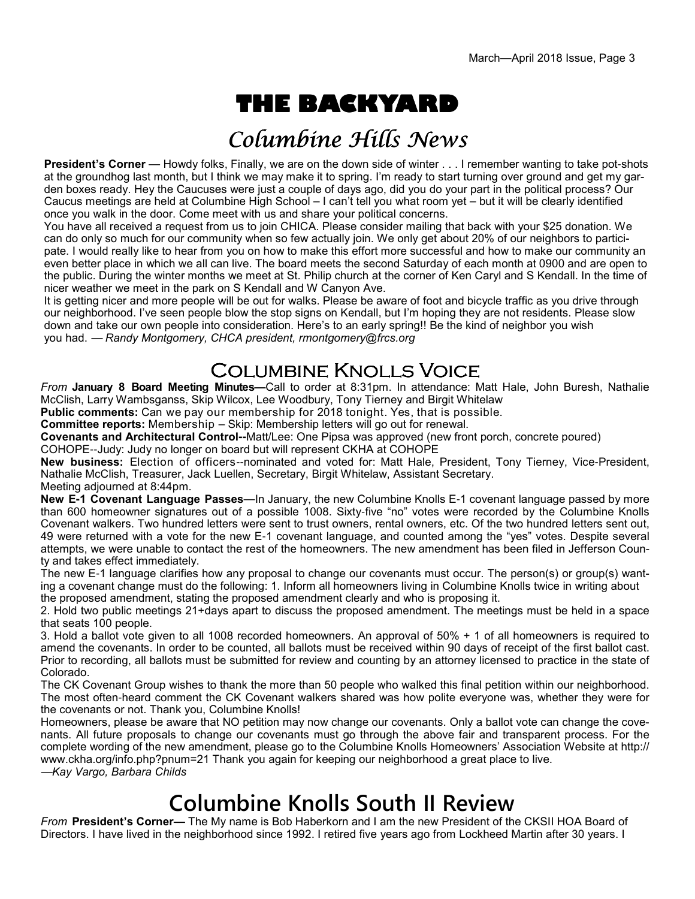# **THE BACKYARD**

## Columbine Hills News

**President's Corner** — Howdy folks, Finally, we are on the down side of winter . . . I remember wanting to take pot-shots at the groundhog last month, but I think we may make it to spring. I'm ready to start turning over ground and get my garden boxes ready. Hey the Caucuses were just a couple of days ago, did you do your part in the political process? Our Caucus meetings are held at Columbine High School – I can't tell you what room yet – but it will be clearly identified once you walk in the door. Come meet with us and share your political concerns.

You have all received a request from us to join CHICA. Please consider mailing that back with your \$25 donation. We can do only so much for our community when so few actually join. We only get about 20% of our neighbors to participate. I would really like to hear from you on how to make this effort more successful and how to make our community an even better place in which we all can live. The board meets the second Saturday of each month at 0900 and are open to the public. During the winter months we meet at St. Philip church at the corner of Ken Caryl and S Kendall. In the time of nicer weather we meet in the park on S Kendall and W Canyon Ave.

It is getting nicer and more people will be out for walks. Please be aware of foot and bicycle traffic as you drive through our neighborhood. I've seen people blow the stop signs on Kendall, but I'm hoping they are not residents. Please slow down and take our own people into consideration. Here's to an early spring!! Be the kind of neighbor you wish you had. — *Randy Montgomery, CHCA president, rmontgomery@frcs.org*

### **COLUMBINE KNOLLS VOICE**

*From* **January 8 Board Meeting Minutes—**Call to order at 8:31pm. In attendance: Matt Hale, John Buresh, Nathalie McClish, Larry Wambsganss, Skip Wilcox, Lee Woodbury, Tony Tierney and Birgit Whitelaw

**Public comments:** Can we pay our membership for 2018 tonight. Yes, that is possible.

**Committee reports:** Membership – Skip: Membership letters will go out for renewal.

**Covenants and Architectural Control--**Matt/Lee: One Pipsa was approved (new front porch, concrete poured)

COHOPE--Judy: Judy no longer on board but will represent CKHA at COHOPE

**New business:** Election of officers--nominated and voted for: Matt Hale, President, Tony Tierney, Vice-President, Nathalie McClish, Treasurer, Jack Luellen, Secretary, Birgit Whitelaw, Assistant Secretary. Meeting adjourned at 8:44pm.

**New E-1 Covenant Language Passes**—In January, the new Columbine Knolls E-1 covenant language passed by more than 600 homeowner signatures out of a possible 1008. Sixty-five "no" votes were recorded by the Columbine Knolls Covenant walkers. Two hundred letters were sent to trust owners, rental owners, etc. Of the two hundred letters sent out, 49 were returned with a vote for the new E-1 covenant language, and counted among the "yes" votes. Despite several attempts, we were unable to contact the rest of the homeowners. The new amendment has been filed in Jefferson County and takes effect immediately.

The new E-1 language clarifies how any proposal to change our covenants must occur. The person(s) or group(s) wanting a covenant change must do the following: 1. Inform all homeowners living in Columbine Knolls twice in writing about the proposed amendment, stating the proposed amendment clearly and who is proposing it.

2. Hold two public meetings 21+days apart to discuss the proposed amendment. The meetings must be held in a space that seats 100 people.

3. Hold a ballot vote given to all 1008 recorded homeowners. An approval of 50% + 1 of all homeowners is required to amend the covenants. In order to be counted, all ballots must be received within 90 days of receipt of the first ballot cast. Prior to recording, all ballots must be submitted for review and counting by an attorney licensed to practice in the state of Colorado.

The CK Covenant Group wishes to thank the more than 50 people who walked this final petition within our neighborhood. The most often-heard comment the CK Covenant walkers shared was how polite everyone was, whether they were for the covenants or not. Thank you, Columbine Knolls!

Homeowners, please be aware that NO petition may now change our covenants. Only a ballot vote can change the covenants. All future proposals to change our covenants must go through the above fair and transparent process. For the complete wording of the new amendment, please go to the Columbine Knolls Homeowners' Association Website at http:// www.ckha.org/info.php?pnum=21 Thank you again for keeping our neighborhood a great place to live. —*Kay Vargo, Barbara Childs*

## **Columbine Knolls South II Review**

*From* **President's Corner—** The My name is Bob Haberkorn and I am the new President of the CKSII HOA Board of Directors. I have lived in the neighborhood since 1992. I retired five years ago from Lockheed Martin after 30 years. I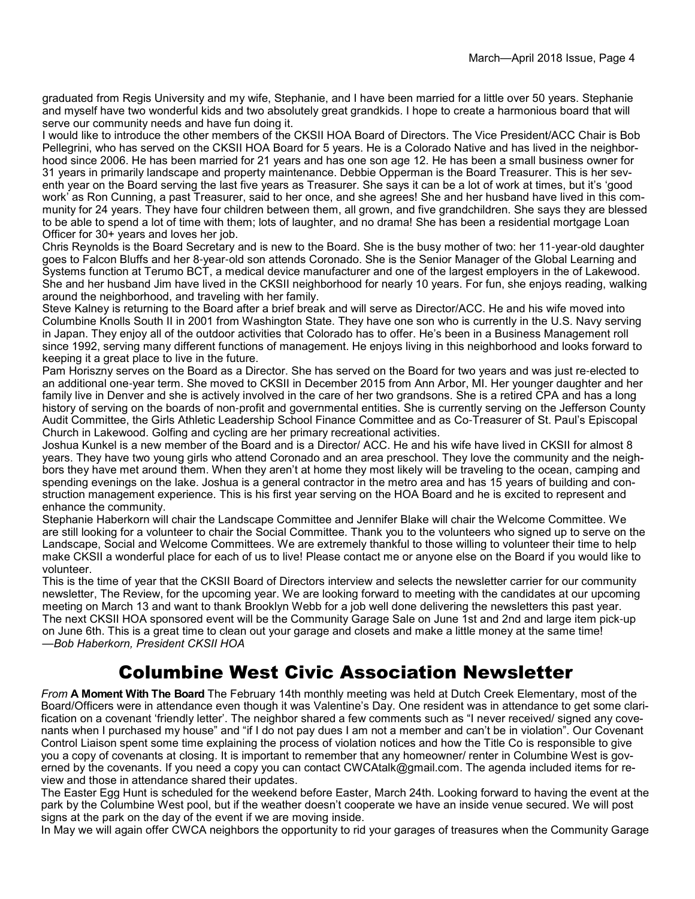graduated from Regis University and my wife, Stephanie, and I have been married for a little over 50 years. Stephanie and myself have two wonderful kids and two absolutely great grandkids. I hope to create a harmonious board that will serve our community needs and have fun doing it.

I would like to introduce the other members of the CKSII HOA Board of Directors. The Vice President/ACC Chair is Bob Pellegrini, who has served on the CKSII HOA Board for 5 years. He is a Colorado Native and has lived in the neighborhood since 2006. He has been married for 21 years and has one son age 12. He has been a small business owner for 31 years in primarily landscape and property maintenance. Debbie Opperman is the Board Treasurer. This is her seventh year on the Board serving the last five years as Treasurer. She says it can be a lot of work at times, but it's 'good work' as Ron Cunning, a past Treasurer, said to her once, and she agrees! She and her husband have lived in this community for 24 years. They have four children between them, all grown, and five grandchildren. She says they are blessed to be able to spend a lot of time with them; lots of laughter, and no drama! She has been a residential mortgage Loan Officer for 30+ years and loves her job.

Chris Reynolds is the Board Secretary and is new to the Board. She is the busy mother of two: her 11-year-old daughter goes to Falcon Bluffs and her 8-year-old son attends Coronado. She is the Senior Manager of the Global Learning and Systems function at Terumo BCT, a medical device manufacturer and one of the largest employers in the of Lakewood. She and her husband Jim have lived in the CKSII neighborhood for nearly 10 years. For fun, she enjoys reading, walking around the neighborhood, and traveling with her family.

Steve Kalney is returning to the Board after a brief break and will serve as Director/ACC. He and his wife moved into Columbine Knolls South II in 2001 from Washington State. They have one son who is currently in the U.S. Navy serving in Japan. They enjoy all of the outdoor activities that Colorado has to offer. He's been in a Business Management roll since 1992, serving many different functions of management. He enjoys living in this neighborhood and looks forward to keeping it a great place to live in the future.

Pam Horiszny serves on the Board as a Director. She has served on the Board for two years and was just re-elected to an additional one-year term. She moved to CKSII in December 2015 from Ann Arbor, MI. Her younger daughter and her family live in Denver and she is actively involved in the care of her two grandsons. She is a retired CPA and has a long history of serving on the boards of non-profit and governmental entities. She is currently serving on the Jefferson County Audit Committee, the Girls Athletic Leadership School Finance Committee and as Co-Treasurer of St. Paul's Episcopal Church in Lakewood. Golfing and cycling are her primary recreational activities.

Joshua Kunkel is a new member of the Board and is a Director/ ACC. He and his wife have lived in CKSII for almost 8 years. They have two young girls who attend Coronado and an area preschool. They love the community and the neighbors they have met around them. When they aren't at home they most likely will be traveling to the ocean, camping and spending evenings on the lake. Joshua is a general contractor in the metro area and has 15 years of building and construction management experience. This is his first year serving on the HOA Board and he is excited to represent and enhance the community.

Stephanie Haberkorn will chair the Landscape Committee and Jennifer Blake will chair the Welcome Committee. We are still looking for a volunteer to chair the Social Committee. Thank you to the volunteers who signed up to serve on the Landscape, Social and Welcome Committees. We are extremely thankful to those willing to volunteer their time to help make CKSII a wonderful place for each of us to live! Please contact me or anyone else on the Board if you would like to volunteer.

This is the time of year that the CKSII Board of Directors interview and selects the newsletter carrier for our community newsletter, The Review, for the upcoming year. We are looking forward to meeting with the candidates at our upcoming meeting on March 13 and want to thank Brooklyn Webb for a job well done delivering the newsletters this past year. The next CKSII HOA sponsored event will be the Community Garage Sale on June 1st and 2nd and large item pick-up on June 6th. This is a great time to clean out your garage and closets and make a little money at the same time! —*Bob Haberkorn, President CKSII HOA*

### Columbine West Civic Association Newsletter

*From* **A Moment With The Board** The February 14th monthly meeting was held at Dutch Creek Elementary, most of the Board/Officers were in attendance even though it was Valentine's Day. One resident was in attendance to get some clarification on a covenant 'friendly letter'. The neighbor shared a few comments such as "I never received/ signed any covenants when I purchased my house" and "if I do not pay dues I am not a member and can't be in violation". Our Covenant Control Liaison spent some time explaining the process of violation notices and how the Title Co is responsible to give you a copy of covenants at closing. It is important to remember that any homeowner/ renter in Columbine West is governed by the covenants. If you need a copy you can contact CWCAtalk@gmail.com. The agenda included items for review and those in attendance shared their updates.

The Easter Egg Hunt is scheduled for the weekend before Easter, March 24th. Looking forward to having the event at the park by the Columbine West pool, but if the weather doesn't cooperate we have an inside venue secured. We will post signs at the park on the day of the event if we are moving inside.

In May we will again offer CWCA neighbors the opportunity to rid your garages of treasures when the Community Garage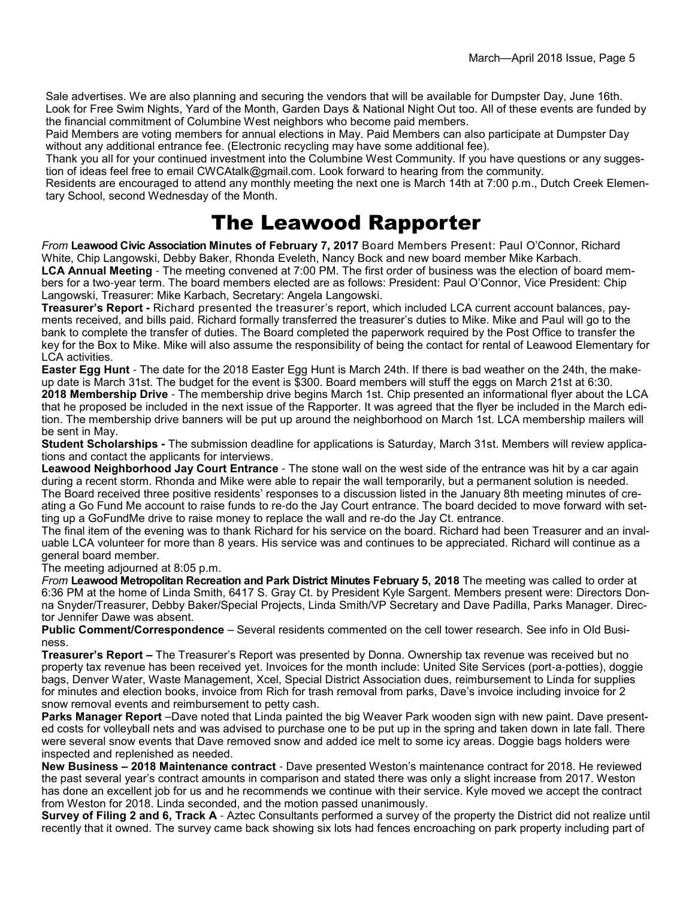Sale advertises. We are also planning and securing the vendors that will be available for Dumpster Day, June 16th. Look for Free Swim Nights, Yard of the Month, Garden Days & National Night Out too. All of these events are funded by the financial commitment of Columbine West neighbors who become paid members.

Paid Members are voting members for annual elections in May. Paid Members can also participate at Dumpster Day without any additional entrance fee. (Electronic recycling may have some additional fee).

Thank you all for your continued investment into the Columbine West Community. If you have questions or any suggestion of ideas feel free to email CWCAtalk@gmail.com. Look forward to hearing from the community.

Residents are encouraged to attend any monthly meeting the next one is March 14th at 7:00 p.m., Dutch Creek Elementary School, second Wednesday of the Month.

## The Leawood Rapporter

*From* **Leawood Civic Association Minutes of February 7, 2017** Board Members Present: Paul O'Connor, Richard White, Chip Langowski, Debby Baker, Rhonda Eveleth, Nancy Bock and new board member Mike Karbach. **LCA Annual Meeting** - The meeting convened at 7:00 PM. The first order of business was the election of board members for a two-year term. The board members elected are as follows: President: Paul O'Connor, Vice President: Chip Langowski, Treasurer: Mike Karbach, Secretary: Angela Langowski.

**Treasurer's Report -** Richard presented the treasurer's report, which included LCA current account balances, payments received, and bills paid. Richard formally transferred the treasurer's duties to Mike. Mike and Paul will go to the bank to complete the transfer of duties. The Board completed the paperwork required by the Post Office to transfer the key for the Box to Mike. Mike will also assume the responsibility of being the contact for rental of Leawood Elementary for LCA activities.

**Easter Egg Hunt** - The date for the 2018 Easter Egg Hunt is March 24th. If there is bad weather on the 24th, the makeup date is March 31st. The budget for the event is \$300. Board members will stuff the eggs on March 21st at 6:30. **2018 Membership Drive** - The membership drive begins March 1st. Chip presented an informational flyer about the LCA that he proposed be included in the next issue of the Rapporter. It was agreed that the flyer be included in the March edi-

tion. The membership drive banners will be put up around the neighborhood on March 1st. LCA membership mailers will be sent in May.

**Student Scholarships -** The submission deadline for applications is Saturday, March 31st. Members will review applications and contact the applicants for interviews.

**Leawood Neighborhood Jay Court Entrance** - The stone wall on the west side of the entrance was hit by a car again during a recent storm. Rhonda and Mike were able to repair the wall temporarily, but a permanent solution is needed. The Board received three positive residents' responses to a discussion listed in the January 8th meeting minutes of creating a Go Fund Me account to raise funds to re-do the Jay Court entrance. The board decided to move forward with setting up a GoFundMe drive to raise money to replace the wall and re-do the Jay Ct. entrance.

The final item of the evening was to thank Richard for his service on the board. Richard had been Treasurer and an invaluable LCA volunteer for more than 8 years. His service was and continues to be appreciated. Richard will continue as a general board member.

The meeting adjourned at 8:05 p.m.

*From* **Leawood Metropolitan Recreation and Park District Minutes February 5, 2018** The meeting was called to order at 6:36 PM at the home of Linda Smith, 6417 S. Gray Ct. by President Kyle Sargent. Members present were: Directors Donna Snyder/Treasurer, Debby Baker/Special Projects, Linda Smith/VP Secretary and Dave Padilla, Parks Manager. Director Jennifer Dawe was absent.

**Public Comment/Correspondence** – Several residents commented on the cell tower research. See info in Old Business.

**Treasurer's Report –** The Treasurer's Report was presented by Donna. Ownership tax revenue was received but no property tax revenue has been received yet. Invoices for the month include: United Site Services (port-a-potties), doggie bags, Denver Water, Waste Management, Xcel, Special District Association dues, reimbursement to Linda for supplies for minutes and election books, invoice from Rich for trash removal from parks, Dave's invoice including invoice for 2 snow removal events and reimbursement to petty cash.

**Parks Manager Report** –Dave noted that Linda painted the big Weaver Park wooden sign with new paint. Dave presented costs for volleyball nets and was advised to purchase one to be put up in the spring and taken down in late fall. There were several snow events that Dave removed snow and added ice melt to some icy areas. Doggie bags holders were inspected and replenished as needed.

**New Business – 2018 Maintenance contract** - Dave presented Weston's maintenance contract for 2018. He reviewed the past several year's contract amounts in comparison and stated there was only a slight increase from 2017. Weston has done an excellent job for us and he recommends we continue with their service. Kyle moved we accept the contract from Weston for 2018. Linda seconded, and the motion passed unanimously.

**Survey of Filing 2 and 6, Track A** - Aztec Consultants performed a survey of the property the District did not realize until recently that it owned. The survey came back showing six lots had fences encroaching on park property including part of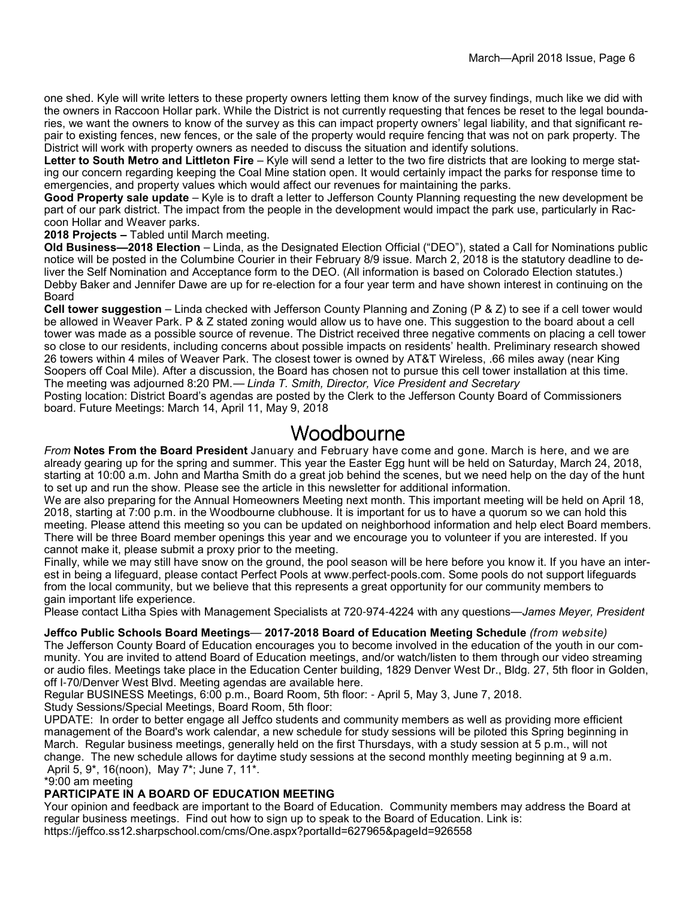one shed. Kyle will write letters to these property owners letting them know of the survey findings, much like we did with the owners in Raccoon Hollar park. While the District is not currently requesting that fences be reset to the legal boundaries, we want the owners to know of the survey as this can impact property owners' legal liability, and that significant repair to existing fences, new fences, or the sale of the property would require fencing that was not on park property. The District will work with property owners as needed to discuss the situation and identify solutions.

**Letter to South Metro and Littleton Fire** – Kyle will send a letter to the two fire districts that are looking to merge stating our concern regarding keeping the Coal Mine station open. It would certainly impact the parks for response time to emergencies, and property values which would affect our revenues for maintaining the parks.

**Good Property sale update** – Kyle is to draft a letter to Jefferson County Planning requesting the new development be part of our park district. The impact from the people in the development would impact the park use, particularly in Raccoon Hollar and Weaver parks.

**2018 Projects –** Tabled until March meeting.

**Old Business—2018 Election** – Linda, as the Designated Election Official ("DEO"), stated a Call for Nominations public notice will be posted in the Columbine Courier in their February 8/9 issue. March 2, 2018 is the statutory deadline to deliver the Self Nomination and Acceptance form to the DEO. (All information is based on Colorado Election statutes.) Debby Baker and Jennifer Dawe are up for re-election for a four year term and have shown interest in continuing on the Board

**Cell tower suggestion** – Linda checked with Jefferson County Planning and Zoning (P & Z) to see if a cell tower would be allowed in Weaver Park. P & Z stated zoning would allow us to have one. This suggestion to the board about a cell tower was made as a possible source of revenue. The District received three negative comments on placing a cell tower so close to our residents, including concerns about possible impacts on residents' health. Preliminary research showed 26 towers within 4 miles of Weaver Park. The closest tower is owned by AT&T Wireless, .66 miles away (near King Soopers off Coal Mile). After a discussion, the Board has chosen not to pursue this cell tower installation at this time. The meeting was adjourned 8:20 PM.— *Linda T. Smith, Director, Vice President and Secretary*

Posting location: District Board's agendas are posted by the Clerk to the Jefferson County Board of Commissioners board. Future Meetings: March 14, April 11, May 9, 2018

#### Woodbourne

*From* **Notes From the Board President** January and February have come and gone. March is here, and we are already gearing up for the spring and summer. This year the Easter Egg hunt will be held on Saturday, March 24, 2018, starting at 10:00 a.m. John and Martha Smith do a great job behind the scenes, but we need help on the day of the hunt to set up and run the show. Please see the article in this newsletter for additional information.

We are also preparing for the Annual Homeowners Meeting next month. This important meeting will be held on April 18, 2018, starting at 7:00 p.m. in the Woodbourne clubhouse. It is important for us to have a quorum so we can hold this meeting. Please attend this meeting so you can be updated on neighborhood information and help elect Board members. There will be three Board member openings this year and we encourage you to volunteer if you are interested. If you cannot make it, please submit a proxy prior to the meeting.

Finally, while we may still have snow on the ground, the pool season will be here before you know it. If you have an interest in being a lifeguard, please contact Perfect Pools at www.perfect-pools.com. Some pools do not support lifeguards from the local community, but we believe that this represents a great opportunity for our community members to gain important life experience.

Please contact Litha Spies with Management Specialists at 720-974-4224 with any questions—*James Meyer, President*

**Jeffco Public Schools Board Meetings**— **2017-2018 Board of Education Meeting Schedule** *(from website)*

The Jefferson County Board of Education encourages you to become involved in the education of the youth in our community. You are invited to attend Board of Education meetings, and/or watch/listen to them through our video streaming or audio files. Meetings take place in the Education Center building, 1829 Denver West Dr., Bldg. 27, 5th floor in Golden, off I-70/Denver West Blvd. Meeting agendas are available here.

Regular BUSINESS Meetings, 6:00 p.m., Board Room, 5th floor: - April 5, May 3, June 7, 2018. Study Sessions/Special Meetings, Board Room, 5th floor:

UPDATE: In order to better engage all Jeffco students and community members as well as providing more efficient management of the Board's work calendar, a new schedule for study sessions will be piloted this Spring beginning in March. Regular business meetings, generally held on the first Thursdays, with a study session at 5 p.m., will not change. The new schedule allows for daytime study sessions at the second monthly meeting beginning at 9 a.m. April 5, 9\*, 16(noon), May 7\*; June 7, 11\*.

\*9:00 am meeting

#### **PARTICIPATE IN A BOARD OF EDUCATION MEETING**

Your opinion and feedback are important to the Board of Education. Community members may address the Board at regular business meetings. Find out how to sign up to speak to the Board of Education. Link is: https://jeffco.ss12.sharpschool.com/cms/One.aspx?portalId=627965&pageId=926558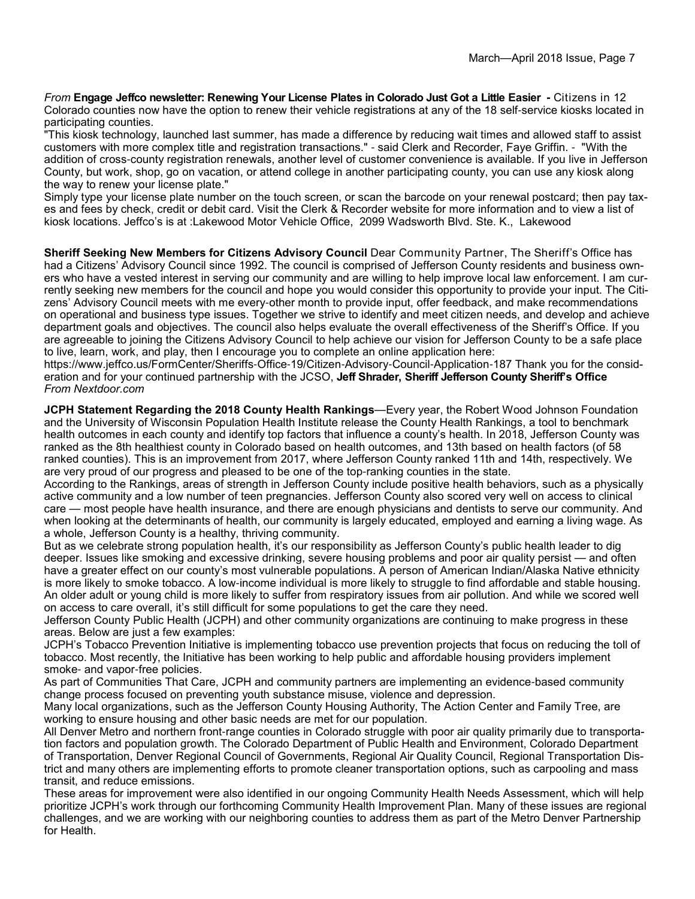*From* **Engage Jeffco newsletter: Renewing Your License Plates in Colorado Just Got a Little Easier -** Citizens in 12 Colorado counties now have the option to renew their vehicle registrations at any of the 18 self-service kiosks located in participating counties.

"This kiosk technology, launched last summer, has made a difference by reducing wait times and allowed staff to assist customers with more complex title and registration transactions." - said Clerk and Recorder, Faye Griffin. - "With the addition of cross-county registration renewals, another level of customer convenience is available. If you live in Jefferson County, but work, shop, go on vacation, or attend college in another participating county, you can use any kiosk along the way to renew your license plate."

Simply type your license plate number on the touch screen, or scan the barcode on your renewal postcard; then pay taxes and fees by check, credit or debit card. Visit the Clerk & Recorder website for more information and to view a list of kiosk locations. Jeffco's is at :Lakewood Motor Vehicle Office, 2099 Wadsworth Blvd. Ste. K., Lakewood

**Sheriff Seeking New Members for Citizens Advisory Council** Dear Community Partner, The Sheriff's Office has had a Citizens' Advisory Council since 1992. The council is comprised of Jefferson County residents and business owners who have a vested interest in serving our community and are willing to help improve local law enforcement. I am currently seeking new members for the council and hope you would consider this opportunity to provide your input. The Citizens' Advisory Council meets with me every-other month to provide input, offer feedback, and make recommendations on operational and business type issues. Together we strive to identify and meet citizen needs, and develop and achieve department goals and objectives. The council also helps evaluate the overall effectiveness of the Sheriff's Office. If you are agreeable to joining the Citizens Advisory Council to help achieve our vision for Jefferson County to be a safe place to live, learn, work, and play, then I encourage you to complete an online application here:

https://www.jeffco.us/FormCenter/Sheriffs-Office-19/Citizen-Advisory-Council-Application-187 Thank you for the consideration and for your continued partnership with the JCSO, **Jeff Shrader, Sheriff Jefferson County Sheriff's Office** *From Nextdoor.com*

**JCPH Statement Regarding the 2018 County Health Rankings**—Every year, the Robert Wood Johnson Foundation and the University of Wisconsin Population Health Institute release the County Health Rankings, a tool to benchmark health outcomes in each county and identify top factors that influence a county's health. In 2018, Jefferson County was ranked as the 8th healthiest county in Colorado based on health outcomes, and 13th based on health factors (of 58 ranked counties). This is an improvement from 2017, where Jefferson County ranked 11th and 14th, respectively. We are very proud of our progress and pleased to be one of the top-ranking counties in the state.

According to the Rankings, areas of strength in Jefferson County include positive health behaviors, such as a physically active community and a low number of teen pregnancies. Jefferson County also scored very well on access to clinical care — most people have health insurance, and there are enough physicians and dentists to serve our community. And when looking at the determinants of health, our community is largely educated, employed and earning a living wage. As a whole, Jefferson County is a healthy, thriving community.

But as we celebrate strong population health, it's our responsibility as Jefferson County's public health leader to dig deeper. Issues like smoking and excessive drinking, severe housing problems and poor air quality persist — and often have a greater effect on our county's most vulnerable populations. A person of American Indian/Alaska Native ethnicity is more likely to smoke tobacco. A low-income individual is more likely to struggle to find affordable and stable housing. An older adult or young child is more likely to suffer from respiratory issues from air pollution. And while we scored well on access to care overall, it's still difficult for some populations to get the care they need.

Jefferson County Public Health (JCPH) and other community organizations are continuing to make progress in these areas. Below are just a few examples:

JCPH's Tobacco Prevention Initiative is implementing tobacco use prevention projects that focus on reducing the toll of tobacco. Most recently, the Initiative has been working to help public and affordable housing providers implement smoke- and vapor-free policies.

As part of Communities That Care, JCPH and community partners are implementing an evidence-based community change process focused on preventing youth substance misuse, violence and depression.

Many local organizations, such as the Jefferson County Housing Authority, The Action Center and Family Tree, are working to ensure housing and other basic needs are met for our population.

All Denver Metro and northern front-range counties in Colorado struggle with poor air quality primarily due to transportation factors and population growth. The Colorado Department of Public Health and Environment, Colorado Department of Transportation, Denver Regional Council of Governments, Regional Air Quality Council, Regional Transportation District and many others are implementing efforts to promote cleaner transportation options, such as carpooling and mass transit, and reduce emissions.

These areas for improvement were also identified in our ongoing Community Health Needs Assessment, which will help prioritize JCPH's work through our forthcoming Community Health Improvement Plan. Many of these issues are regional challenges, and we are working with our neighboring counties to address them as part of the Metro Denver Partnership for Health.